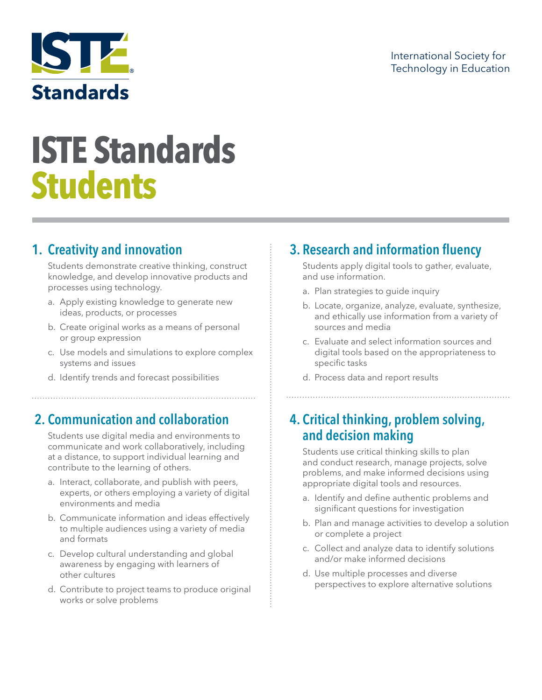

# **ISTE Standards Students**

## **1. Creativity and innovation**

Students demonstrate creative thinking, construct knowledge, and develop innovative products and processes using technology.

- a. Apply existing knowledge to generate new ideas, products, or processes
- b. Create original works as a means of personal or group expression
- c. Use models and simulations to explore complex systems and issues
- d. Identify trends and forecast possibilities

## **2. Communication and collaboration**

Students use digital media and environments to communicate and work collaboratively, including at a distance, to support individual learning and contribute to the learning of others.

- a. Interact, collaborate, and publish with peers, experts, or others employing a variety of digital environments and media
- b. Communicate information and ideas effectively to multiple audiences using a variety of media and formats
- c. Develop cultural understanding and global awareness by engaging with learners of other cultures
- d. Contribute to project teams to produce original works or solve problems

#### **3. Research and information fluency**

Students apply digital tools to gather, evaluate, and use information.

- a. Plan strategies to guide inquiry
- b. Locate, organize, analyze, evaluate, synthesize, and ethically use information from a variety of sources and media
- c. Evaluate and select information sources and digital tools based on the appropriateness to specific tasks
- d. Process data and report results

#### **4. Critical thinking, problem solving, and decision making**

Students use critical thinking skills to plan and conduct research, manage projects, solve problems, and make informed decisions using appropriate digital tools and resources.

- a. Identify and define authentic problems and significant questions for investigation
- b. Plan and manage activities to develop a solution or complete a project
- c. Collect and analyze data to identify solutions and/or make informed decisions
- d. Use multiple processes and diverse perspectives to explore alternative solutions